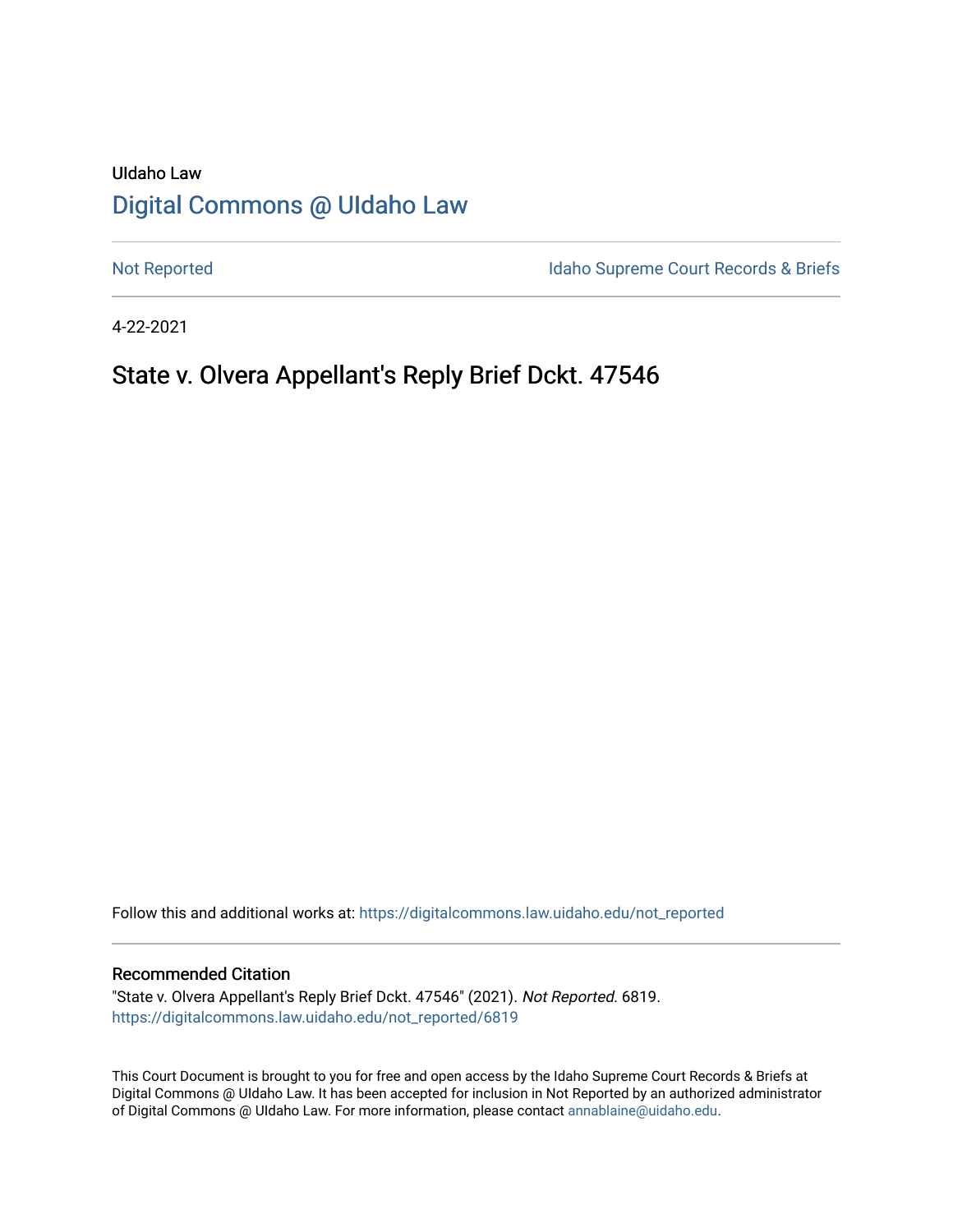# UIdaho Law [Digital Commons @ UIdaho Law](https://digitalcommons.law.uidaho.edu/)

[Not Reported](https://digitalcommons.law.uidaho.edu/not_reported) **Idaho Supreme Court Records & Briefs** 

4-22-2021

# State v. Olvera Appellant's Reply Brief Dckt. 47546

Follow this and additional works at: [https://digitalcommons.law.uidaho.edu/not\\_reported](https://digitalcommons.law.uidaho.edu/not_reported?utm_source=digitalcommons.law.uidaho.edu%2Fnot_reported%2F6819&utm_medium=PDF&utm_campaign=PDFCoverPages) 

#### Recommended Citation

"State v. Olvera Appellant's Reply Brief Dckt. 47546" (2021). Not Reported. 6819. [https://digitalcommons.law.uidaho.edu/not\\_reported/6819](https://digitalcommons.law.uidaho.edu/not_reported/6819?utm_source=digitalcommons.law.uidaho.edu%2Fnot_reported%2F6819&utm_medium=PDF&utm_campaign=PDFCoverPages)

This Court Document is brought to you for free and open access by the Idaho Supreme Court Records & Briefs at Digital Commons @ UIdaho Law. It has been accepted for inclusion in Not Reported by an authorized administrator of Digital Commons @ UIdaho Law. For more information, please contact [annablaine@uidaho.edu](mailto:annablaine@uidaho.edu).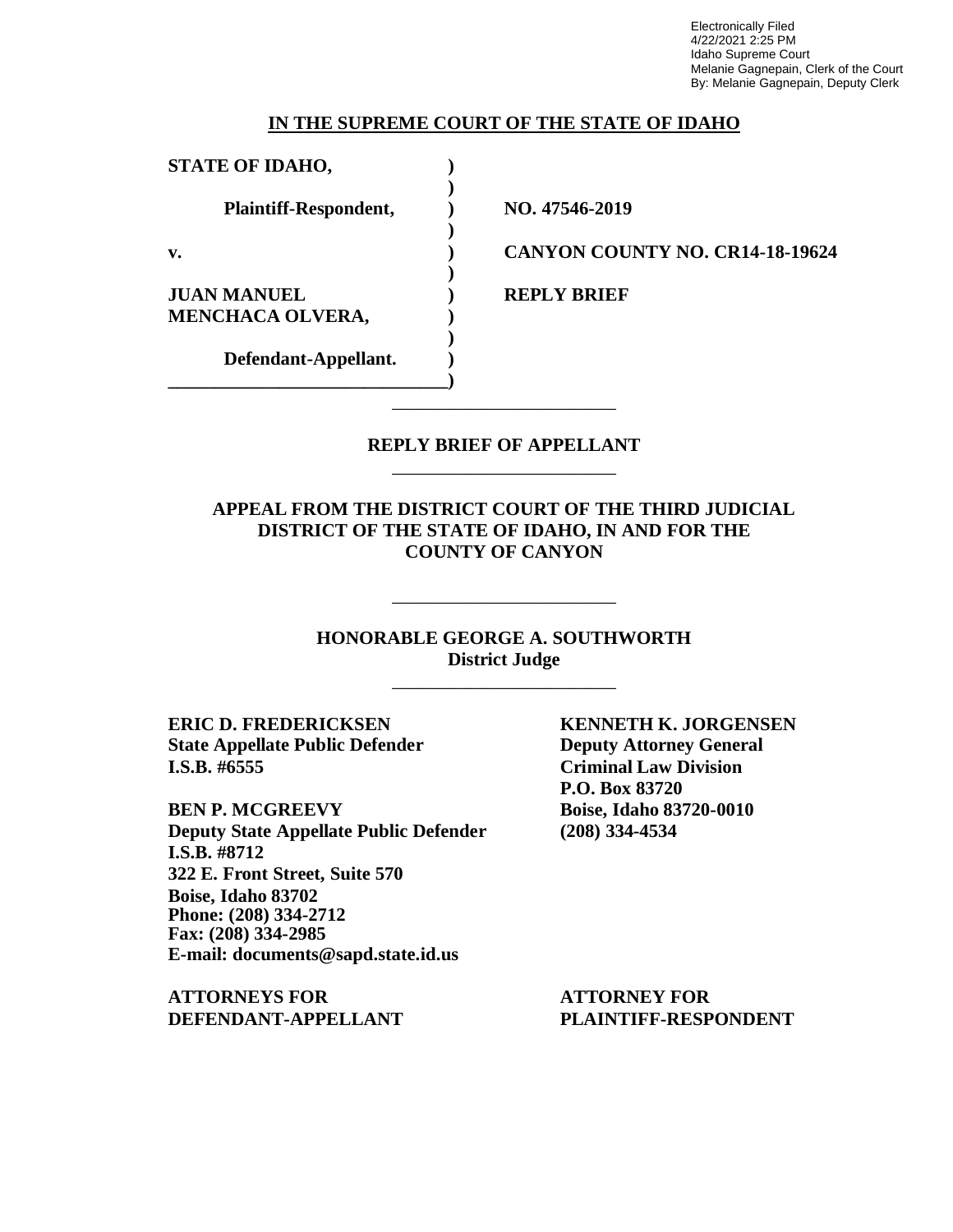Electronically Filed 4/22/2021 2:25 PM Idaho Supreme Court Melanie Gagnepain, Clerk of the Court By: Melanie Gagnepain, Deputy Clerk

#### **IN THE SUPREME COURT OF THE STATE OF IDAHO**

| <b>STATE OF IDAHO,</b>                        |                                        |
|-----------------------------------------------|----------------------------------------|
| Plaintiff-Respondent,                         | NO. 47546-2019                         |
| $\mathbf{v}$ .                                | <b>CANYON COUNTY NO. CR14-18-19624</b> |
| <b>JUAN MANUEL</b><br><b>MENCHACA OLVERA,</b> | <b>REPLY BRIEF</b>                     |
| Defendant-Appellant.                          |                                        |

## **REPLY BRIEF OF APPELLANT** \_\_\_\_\_\_\_\_\_\_\_\_\_\_\_\_\_\_\_\_\_\_\_\_

\_\_\_\_\_\_\_\_\_\_\_\_\_\_\_\_\_\_\_\_\_\_\_\_

**APPEAL FROM THE DISTRICT COURT OF THE THIRD JUDICIAL DISTRICT OF THE STATE OF IDAHO, IN AND FOR THE COUNTY OF CANYON**

> **HONORABLE GEORGE A. SOUTHWORTH District Judge** \_\_\_\_\_\_\_\_\_\_\_\_\_\_\_\_\_\_\_\_\_\_\_\_

\_\_\_\_\_\_\_\_\_\_\_\_\_\_\_\_\_\_\_\_\_\_\_\_

**ERIC D. FREDERICKSEN KENNETH K. JORGENSEN State Appellate Public Defender Deputy Attorney General I.S.B. #6555 Criminal Law Division**

**BEN P. MCGREEVY Boise, Idaho 83720-0010 Deputy State Appellate Public Defender (208) 334-4534 I.S.B. #8712 322 E. Front Street, Suite 570 Boise, Idaho 83702 Phone: (208) 334-2712 Fax: (208) 334-2985 E-mail: documents@sapd.state.id.us**

**ATTORNEYS FOR ATTORNEY FOR DEFENDANT-APPELLANT PLAINTIFF-RESPONDENT**

**P.O. Box 83720**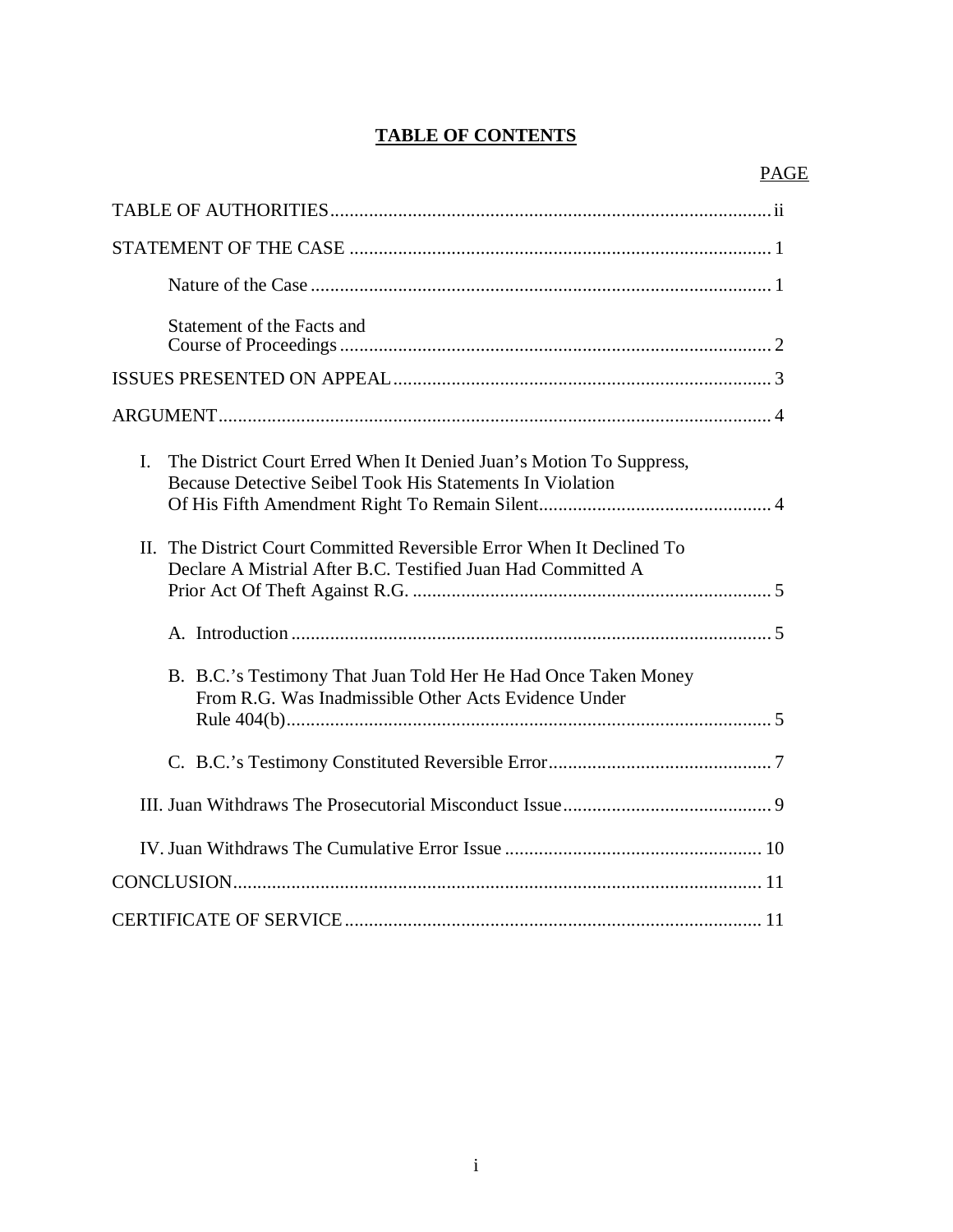## **TABLE OF CONTENTS**

| Statement of the Facts and                                                                                                                        |
|---------------------------------------------------------------------------------------------------------------------------------------------------|
|                                                                                                                                                   |
|                                                                                                                                                   |
| $\mathbf{I}$ .<br>The District Court Erred When It Denied Juan's Motion To Suppress,<br>Because Detective Seibel Took His Statements In Violation |
| II. The District Court Committed Reversible Error When It Declined To<br>Declare A Mistrial After B.C. Testified Juan Had Committed A             |
|                                                                                                                                                   |
| B. B.C.'s Testimony That Juan Told Her He Had Once Taken Money<br>From R.G. Was Inadmissible Other Acts Evidence Under                            |
|                                                                                                                                                   |
|                                                                                                                                                   |
|                                                                                                                                                   |
|                                                                                                                                                   |
|                                                                                                                                                   |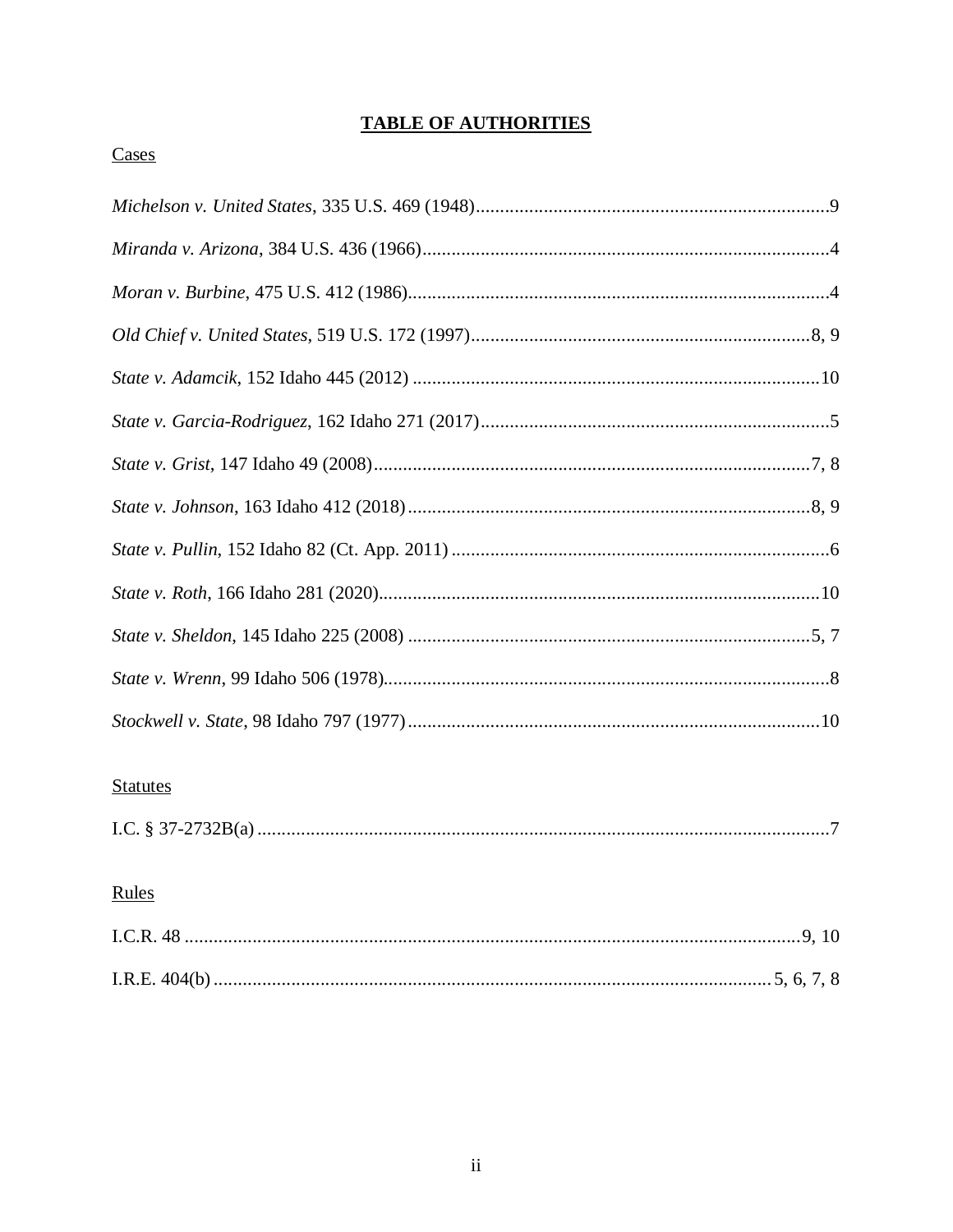## **TABLE OF AUTHORITIES**

## Cases

| <b>Statutes</b> |
|-----------------|

|--|--|

# Rules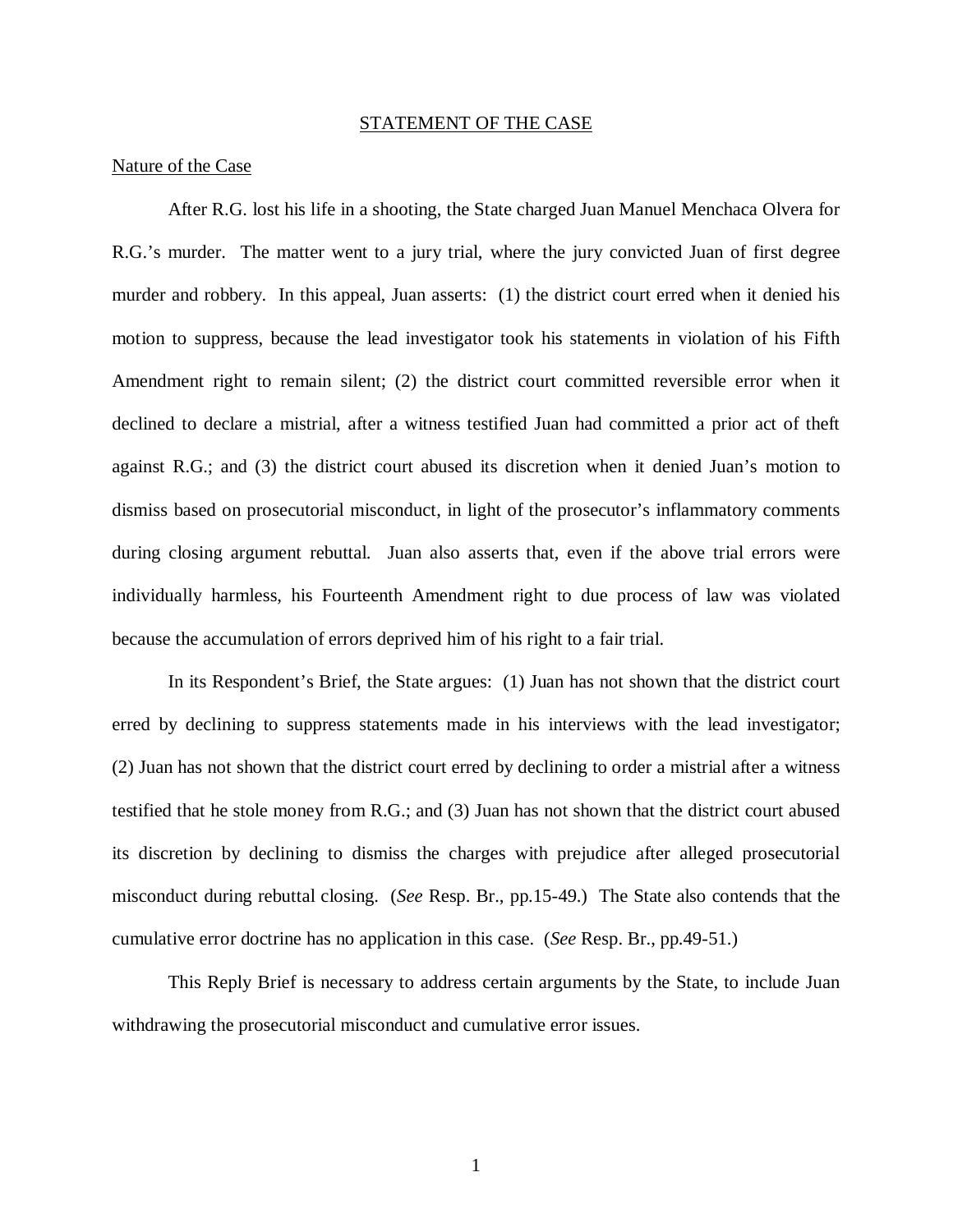#### STATEMENT OF THE CASE

#### Nature of the Case

After R.G. lost his life in a shooting, the State charged Juan Manuel Menchaca Olvera for R.G.'s murder. The matter went to a jury trial, where the jury convicted Juan of first degree murder and robbery. In this appeal, Juan asserts: (1) the district court erred when it denied his motion to suppress, because the lead investigator took his statements in violation of his Fifth Amendment right to remain silent; (2) the district court committed reversible error when it declined to declare a mistrial, after a witness testified Juan had committed a prior act of theft against R.G.; and (3) the district court abused its discretion when it denied Juan's motion to dismiss based on prosecutorial misconduct, in light of the prosecutor's inflammatory comments during closing argument rebuttal. Juan also asserts that, even if the above trial errors were individually harmless, his Fourteenth Amendment right to due process of law was violated because the accumulation of errors deprived him of his right to a fair trial.

In its Respondent's Brief, the State argues: (1) Juan has not shown that the district court erred by declining to suppress statements made in his interviews with the lead investigator; (2) Juan has not shown that the district court erred by declining to order a mistrial after a witness testified that he stole money from R.G.; and (3) Juan has not shown that the district court abused its discretion by declining to dismiss the charges with prejudice after alleged prosecutorial misconduct during rebuttal closing. (*See* Resp. Br., pp.15-49.) The State also contends that the cumulative error doctrine has no application in this case. (*See* Resp. Br., pp.49-51.)

This Reply Brief is necessary to address certain arguments by the State, to include Juan withdrawing the prosecutorial misconduct and cumulative error issues.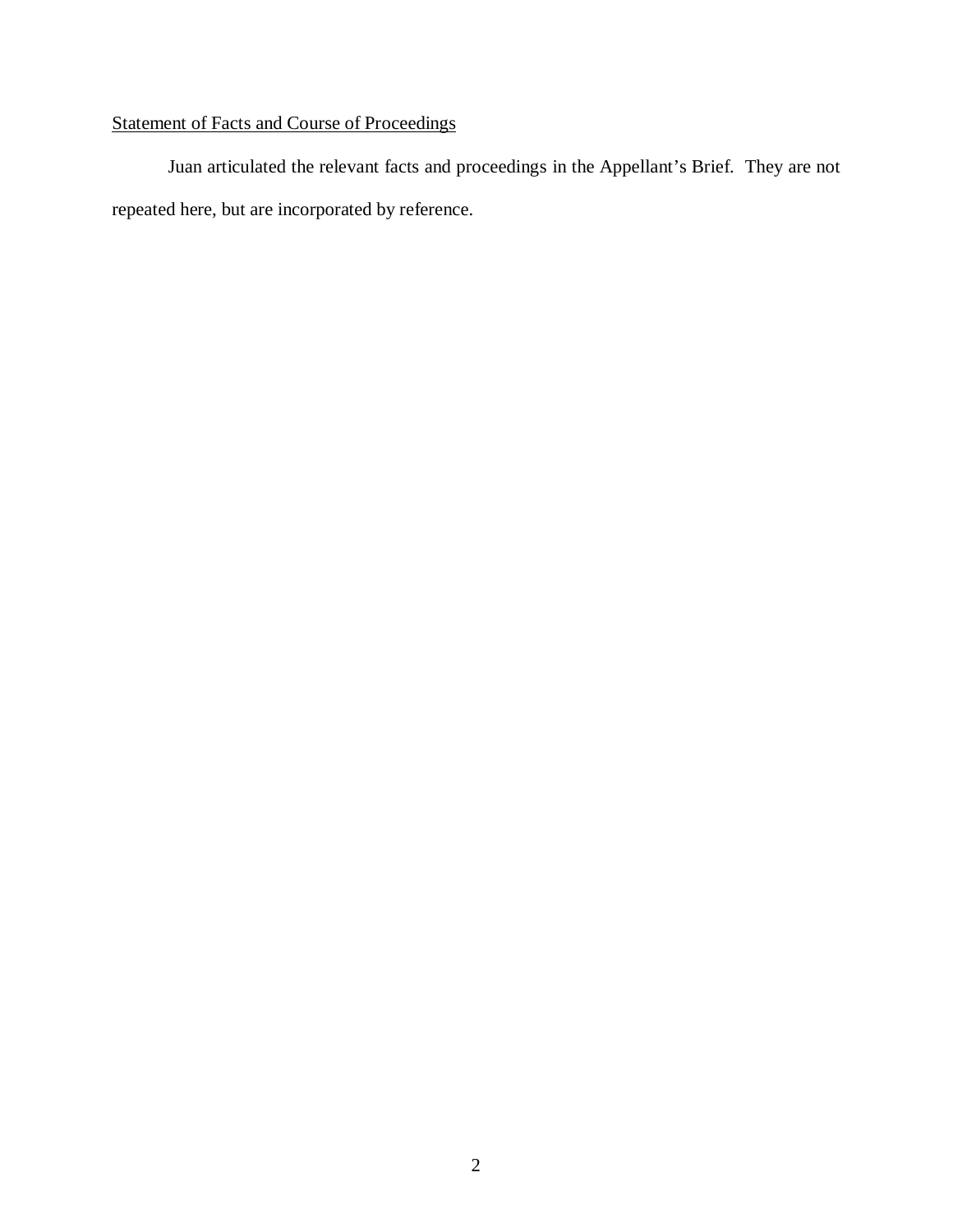# Statement of Facts and Course of Proceedings

Juan articulated the relevant facts and proceedings in the Appellant's Brief. They are not repeated here, but are incorporated by reference.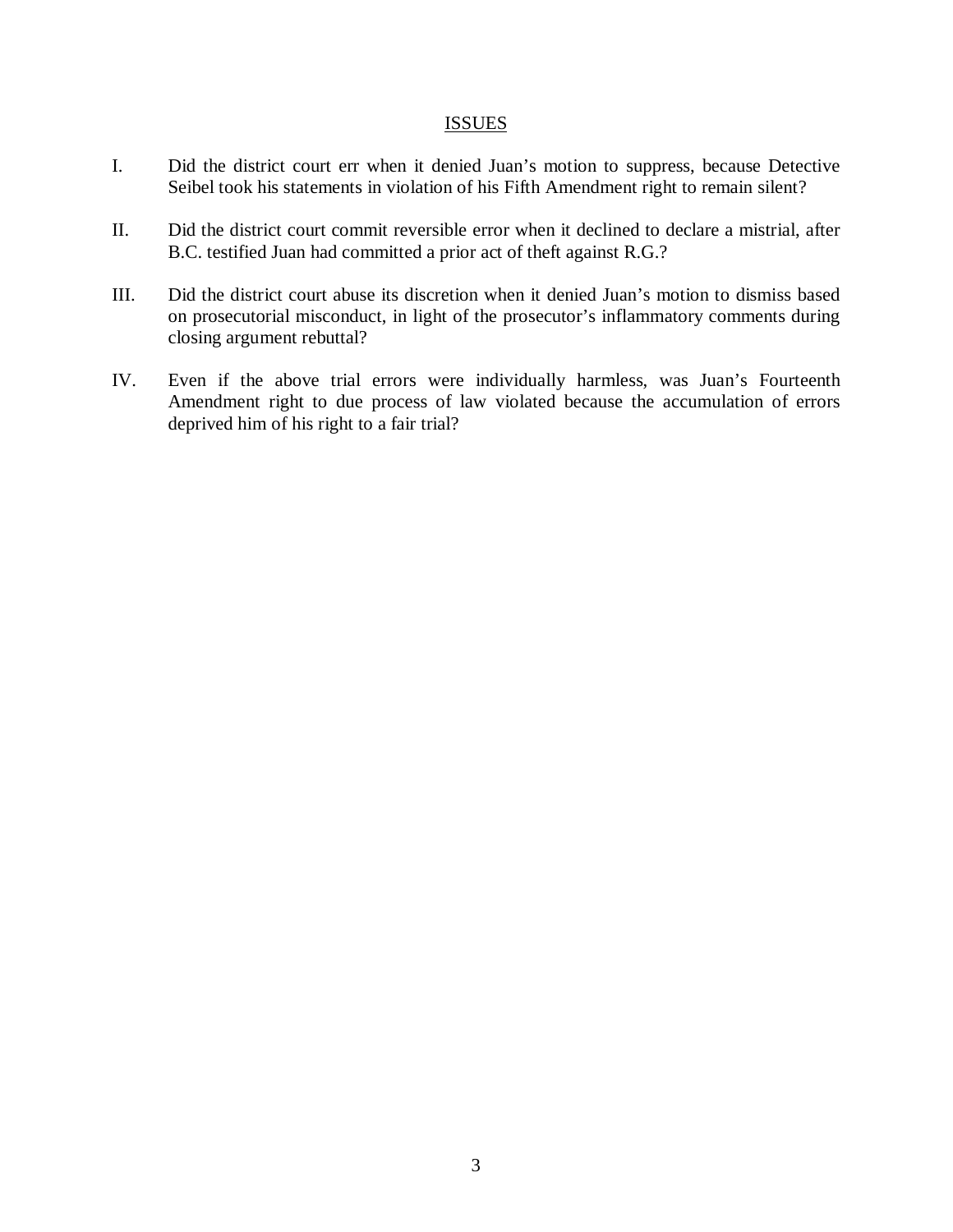#### **ISSUES**

- I. Did the district court err when it denied Juan's motion to suppress, because Detective Seibel took his statements in violation of his Fifth Amendment right to remain silent?
- II. Did the district court commit reversible error when it declined to declare a mistrial, after B.C. testified Juan had committed a prior act of theft against R.G.?
- III. Did the district court abuse its discretion when it denied Juan's motion to dismiss based on prosecutorial misconduct, in light of the prosecutor's inflammatory comments during closing argument rebuttal?
- IV. Even if the above trial errors were individually harmless, was Juan's Fourteenth Amendment right to due process of law violated because the accumulation of errors deprived him of his right to a fair trial?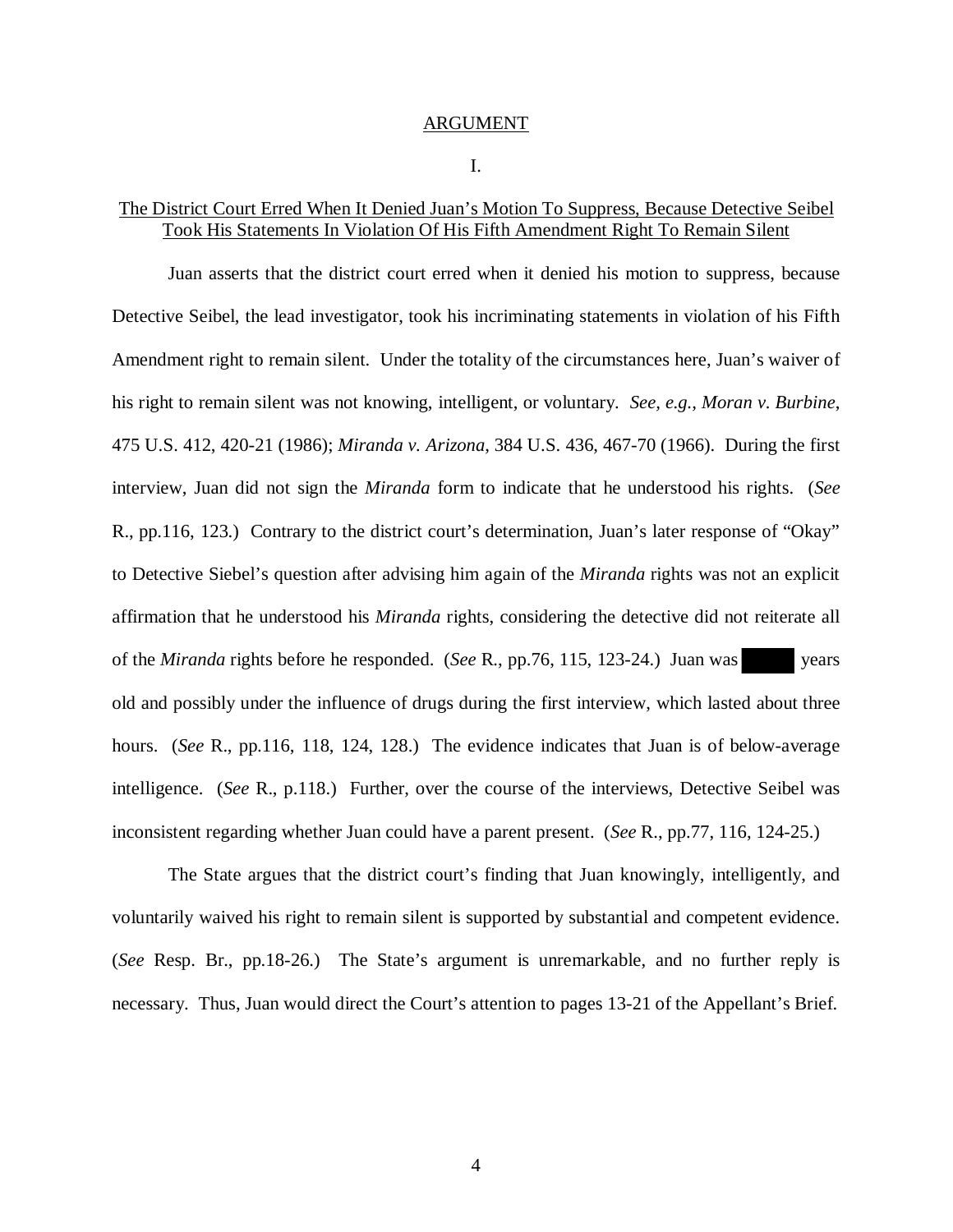#### ARGUMENT

#### I.

## The District Court Erred When It Denied Juan's Motion To Suppress, Because Detective Seibel Took His Statements In Violation Of His Fifth Amendment Right To Remain Silent

Juan asserts that the district court erred when it denied his motion to suppress, because Detective Seibel, the lead investigator, took his incriminating statements in violation of his Fifth Amendment right to remain silent. Under the totality of the circumstances here, Juan's waiver of his right to remain silent was not knowing, intelligent, or voluntary. *See, e.g., Moran v. Burbine*, 475 U.S. 412, 420-21 (1986); *Miranda v. Arizona*, 384 U.S. 436, 467-70 (1966). During the first interview, Juan did not sign the *Miranda* form to indicate that he understood his rights. (*See* R., pp.116, 123.) Contrary to the district court's determination, Juan's later response of "Okay" to Detective Siebel's question after advising him again of the *Miranda* rights was not an explicit affirmation that he understood his *Miranda* rights, considering the detective did not reiterate all of the *Miranda* rights before he responded. (*See* R., pp.76, 115, 123-24.) Juan was years old and possibly under the influence of drugs during the first interview, which lasted about three hours. (*See* R., pp.116, 118, 124, 128.) The evidence indicates that Juan is of below-average intelligence. (*See* R., p.118.) Further, over the course of the interviews, Detective Seibel was inconsistent regarding whether Juan could have a parent present. (*See* R., pp.77, 116, 124-25.)

The State argues that the district court's finding that Juan knowingly, intelligently, and voluntarily waived his right to remain silent is supported by substantial and competent evidence. (*See* Resp. Br., pp.18-26.) The State's argument is unremarkable, and no further reply is necessary. Thus, Juan would direct the Court's attention to pages 13-21 of the Appellant's Brief.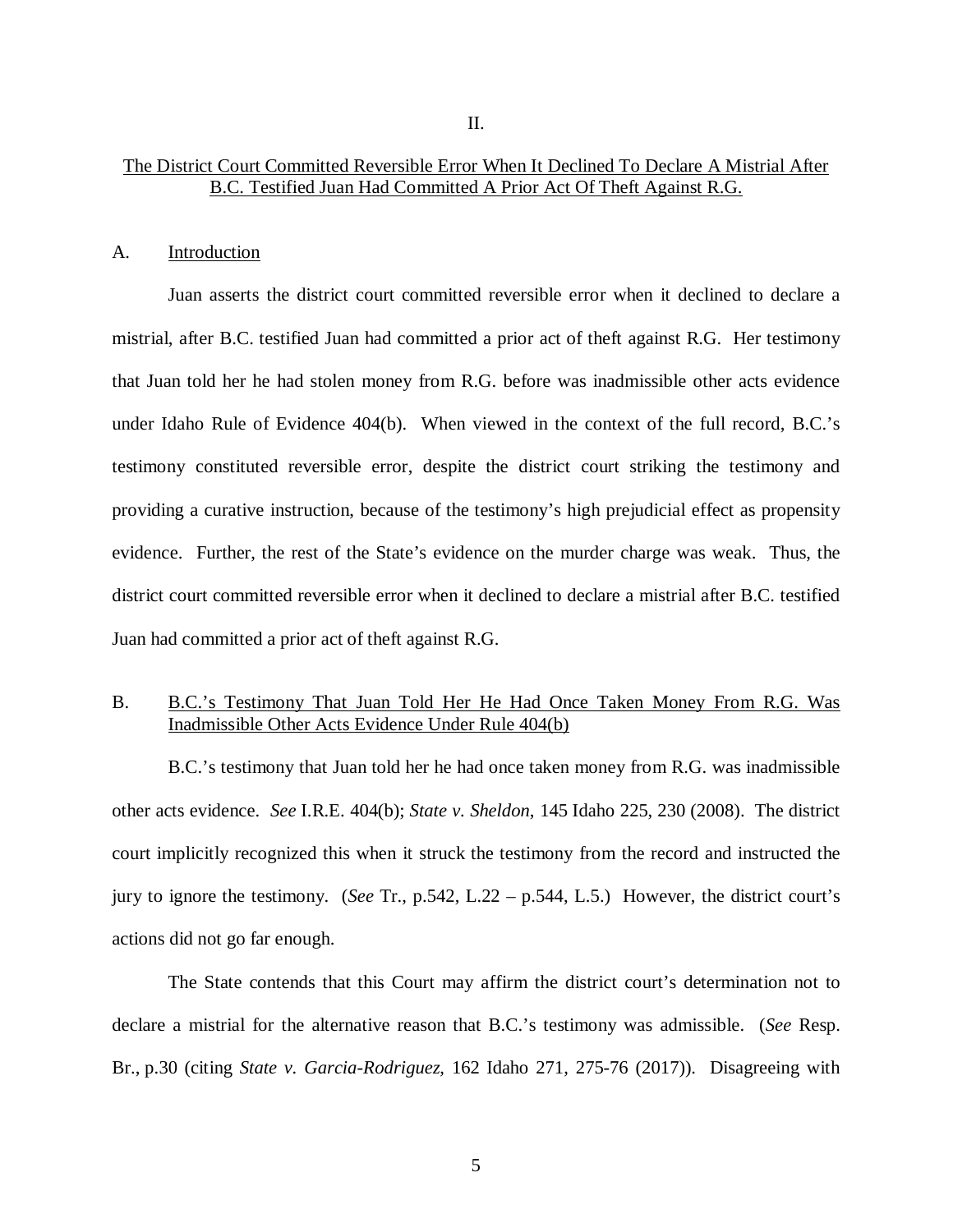II.

#### A. Introduction

Juan asserts the district court committed reversible error when it declined to declare a mistrial, after B.C. testified Juan had committed a prior act of theft against R.G. Her testimony that Juan told her he had stolen money from R.G. before was inadmissible other acts evidence under Idaho Rule of Evidence 404(b). When viewed in the context of the full record, B.C.'s testimony constituted reversible error, despite the district court striking the testimony and providing a curative instruction, because of the testimony's high prejudicial effect as propensity evidence. Further, the rest of the State's evidence on the murder charge was weak. Thus, the district court committed reversible error when it declined to declare a mistrial after B.C. testified Juan had committed a prior act of theft against R.G.

## B. B.C.'s Testimony That Juan Told Her He Had Once Taken Money From R.G. Was Inadmissible Other Acts Evidence Under Rule 404(b)

B.C.'s testimony that Juan told her he had once taken money from R.G. was inadmissible other acts evidence. *See* I.R.E. 404(b); *State v. Sheldon*, 145 Idaho 225, 230 (2008). The district court implicitly recognized this when it struck the testimony from the record and instructed the jury to ignore the testimony. (*See* Tr., p.542, L.22 – p.544, L.5.) However, the district court's actions did not go far enough.

The State contends that this Court may affirm the district court's determination not to declare a mistrial for the alternative reason that B.C.'s testimony was admissible. (*See* Resp. Br., p.30 (citing *State v. Garcia-Rodriguez*, 162 Idaho 271, 275-76 (2017)). Disagreeing with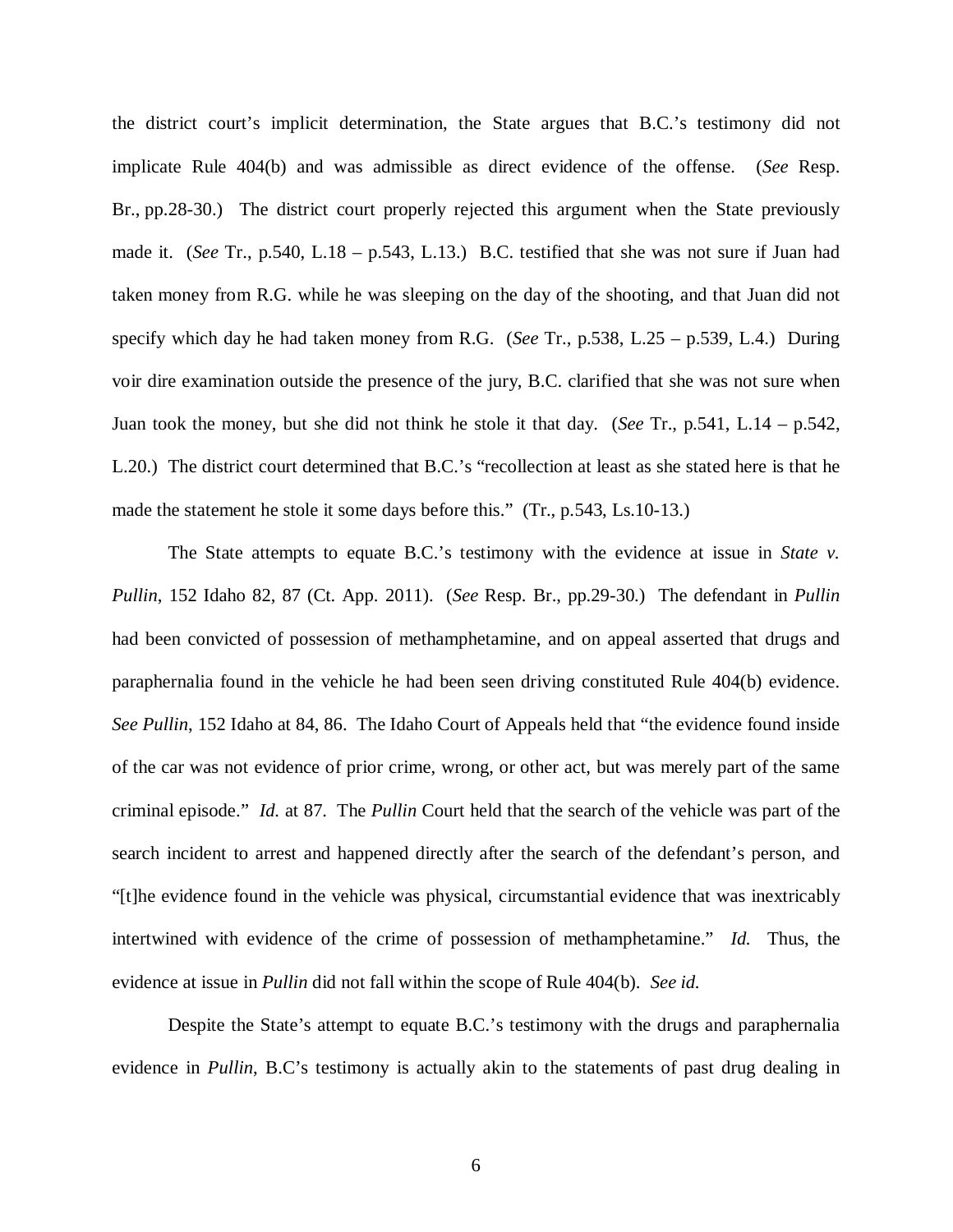the district court's implicit determination, the State argues that B.C.'s testimony did not implicate Rule 404(b) and was admissible as direct evidence of the offense. (*See* Resp. Br., pp.28-30.) The district court properly rejected this argument when the State previously made it. (*See* Tr., p.540, L.18 – p.543, L.13.) B.C. testified that she was not sure if Juan had taken money from R.G. while he was sleeping on the day of the shooting, and that Juan did not specify which day he had taken money from R.G. (*See* Tr., p.538, L.25 – p.539, L.4.) During voir dire examination outside the presence of the jury, B.C. clarified that she was not sure when Juan took the money, but she did not think he stole it that day. (*See* Tr., p.541, L.14 – p.542, L.20.) The district court determined that B.C.'s "recollection at least as she stated here is that he made the statement he stole it some days before this." (Tr., p.543, Ls.10-13.)

The State attempts to equate B.C.'s testimony with the evidence at issue in *State v. Pullin*, 152 Idaho 82, 87 (Ct. App. 2011). (*See* Resp. Br., pp.29-30.) The defendant in *Pullin* had been convicted of possession of methamphetamine, and on appeal asserted that drugs and paraphernalia found in the vehicle he had been seen driving constituted Rule 404(b) evidence. *See Pullin*, 152 Idaho at 84, 86. The Idaho Court of Appeals held that "the evidence found inside of the car was not evidence of prior crime, wrong, or other act, but was merely part of the same criminal episode." *Id.* at 87. The *Pullin* Court held that the search of the vehicle was part of the search incident to arrest and happened directly after the search of the defendant's person, and "[t]he evidence found in the vehicle was physical, circumstantial evidence that was inextricably intertwined with evidence of the crime of possession of methamphetamine." *Id.* Thus, the evidence at issue in *Pullin* did not fall within the scope of Rule 404(b). *See id.*

Despite the State's attempt to equate B.C.'s testimony with the drugs and paraphernalia evidence in *Pullin*, B.C's testimony is actually akin to the statements of past drug dealing in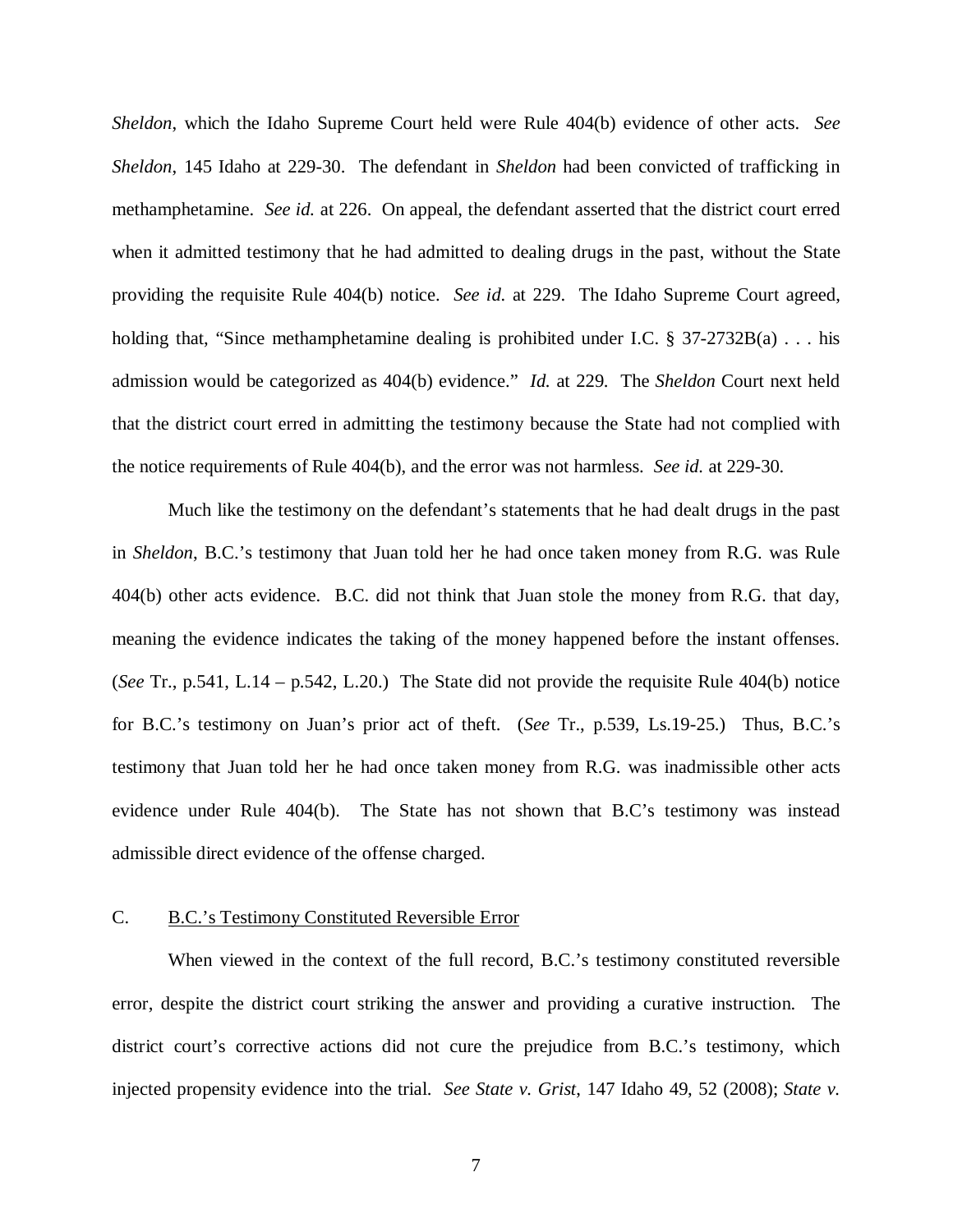*Sheldon*, which the Idaho Supreme Court held were Rule 404(b) evidence of other acts. *See Sheldon*, 145 Idaho at 229-30. The defendant in *Sheldon* had been convicted of trafficking in methamphetamine. *See id.* at 226. On appeal, the defendant asserted that the district court erred when it admitted testimony that he had admitted to dealing drugs in the past, without the State providing the requisite Rule 404(b) notice. *See id.* at 229. The Idaho Supreme Court agreed, holding that, "Since methamphetamine dealing is prohibited under I.C. § 37-2732B(a) . . . his admission would be categorized as 404(b) evidence." *Id.* at 229. The *Sheldon* Court next held that the district court erred in admitting the testimony because the State had not complied with the notice requirements of Rule 404(b), and the error was not harmless. *See id.* at 229-30.

Much like the testimony on the defendant's statements that he had dealt drugs in the past in *Sheldon*, B.C.'s testimony that Juan told her he had once taken money from R.G. was Rule 404(b) other acts evidence. B.C. did not think that Juan stole the money from R.G. that day, meaning the evidence indicates the taking of the money happened before the instant offenses. (*See* Tr., p.541, L.14 – p.542, L.20.) The State did not provide the requisite Rule 404(b) notice for B.C.'s testimony on Juan's prior act of theft. (*See* Tr., p.539, Ls.19-25.) Thus, B.C.'s testimony that Juan told her he had once taken money from R.G. was inadmissible other acts evidence under Rule 404(b). The State has not shown that B.C's testimony was instead admissible direct evidence of the offense charged.

### C. B.C.'s Testimony Constituted Reversible Error

When viewed in the context of the full record, B.C.'s testimony constituted reversible error, despite the district court striking the answer and providing a curative instruction. The district court's corrective actions did not cure the prejudice from B.C.'s testimony, which injected propensity evidence into the trial. *See State v. Grist*, 147 Idaho 49, 52 (2008); *State v.*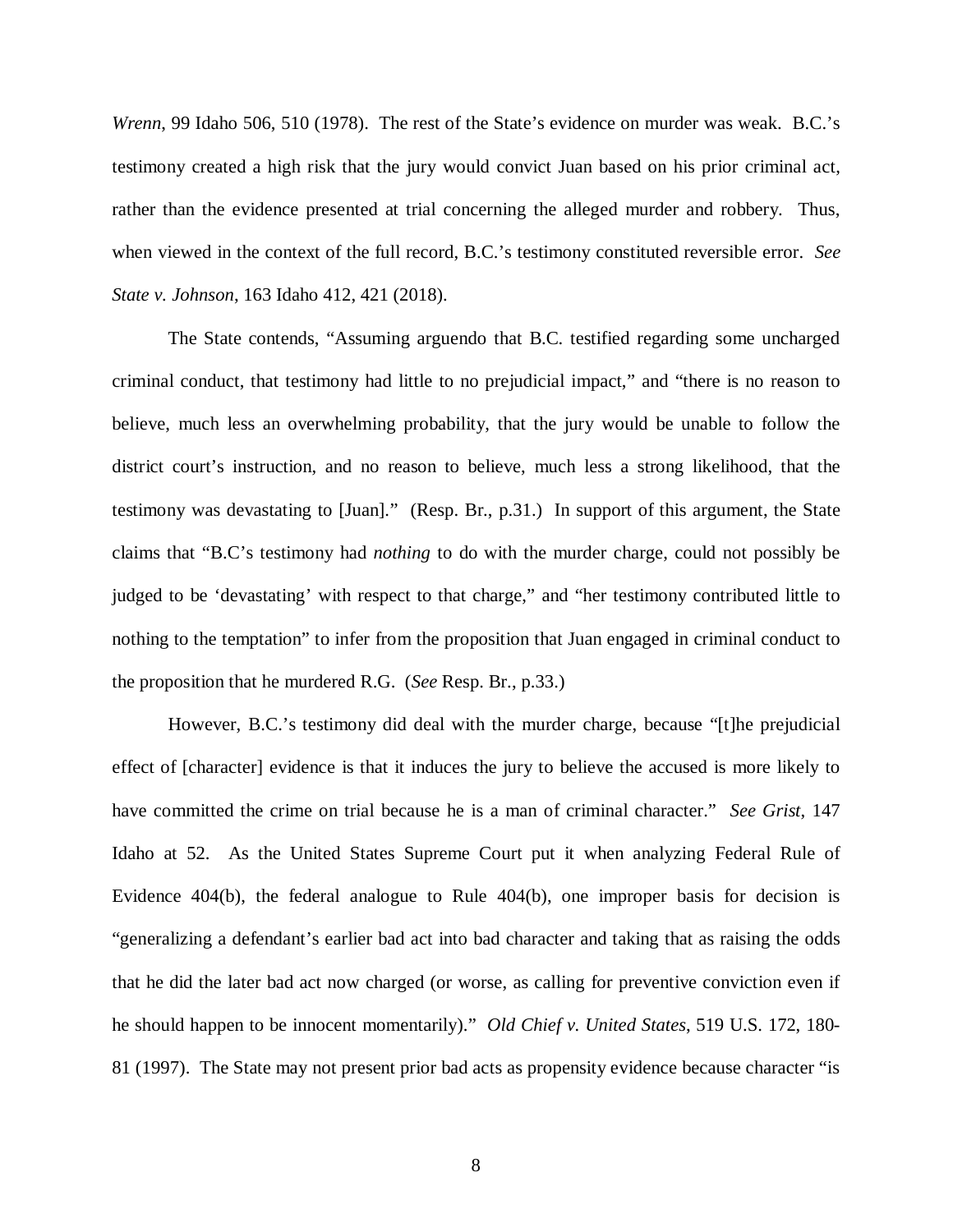*Wrenn*, 99 Idaho 506, 510 (1978). The rest of the State's evidence on murder was weak. B.C.'s testimony created a high risk that the jury would convict Juan based on his prior criminal act, rather than the evidence presented at trial concerning the alleged murder and robbery. Thus, when viewed in the context of the full record, B.C.'s testimony constituted reversible error. *See State v. Johnson*, 163 Idaho 412, 421 (2018).

The State contends, "Assuming arguendo that B.C. testified regarding some uncharged criminal conduct, that testimony had little to no prejudicial impact," and "there is no reason to believe, much less an overwhelming probability, that the jury would be unable to follow the district court's instruction, and no reason to believe, much less a strong likelihood, that the testimony was devastating to [Juan]." (Resp. Br., p.31.) In support of this argument, the State claims that "B.C's testimony had *nothing* to do with the murder charge, could not possibly be judged to be 'devastating' with respect to that charge," and "her testimony contributed little to nothing to the temptation" to infer from the proposition that Juan engaged in criminal conduct to the proposition that he murdered R.G. (*See* Resp. Br., p.33.)

However, B.C.'s testimony did deal with the murder charge, because "[t]he prejudicial effect of [character] evidence is that it induces the jury to believe the accused is more likely to have committed the crime on trial because he is a man of criminal character." *See Grist*, 147 Idaho at 52. As the United States Supreme Court put it when analyzing Federal Rule of Evidence 404(b), the federal analogue to Rule 404(b), one improper basis for decision is "generalizing a defendant's earlier bad act into bad character and taking that as raising the odds that he did the later bad act now charged (or worse, as calling for preventive conviction even if he should happen to be innocent momentarily)." *Old Chief v. United States*, 519 U.S. 172, 180- 81 (1997). The State may not present prior bad acts as propensity evidence because character "is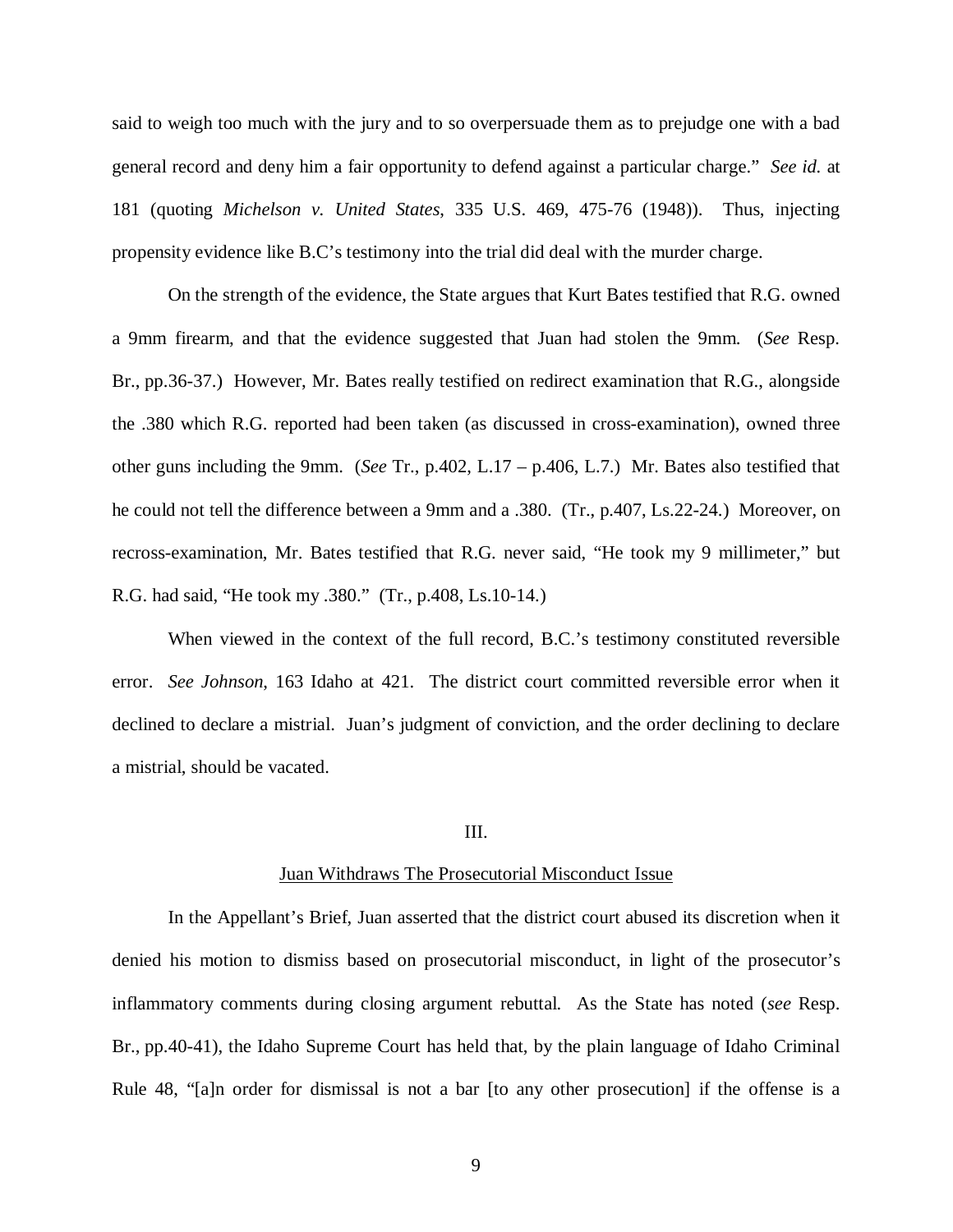said to weigh too much with the jury and to so overpersuade them as to prejudge one with a bad general record and deny him a fair opportunity to defend against a particular charge." *See id.* at 181 (quoting *Michelson v. United States*, 335 U.S. 469, 475-76 (1948)). Thus, injecting propensity evidence like B.C's testimony into the trial did deal with the murder charge.

On the strength of the evidence, the State argues that Kurt Bates testified that R.G. owned a 9mm firearm, and that the evidence suggested that Juan had stolen the 9mm. (*See* Resp. Br., pp.36-37.) However, Mr. Bates really testified on redirect examination that R.G., alongside the .380 which R.G. reported had been taken (as discussed in cross-examination), owned three other guns including the 9mm. (*See* Tr., p.402, L.17 – p.406, L.7.) Mr. Bates also testified that he could not tell the difference between a 9mm and a .380. (Tr., p.407, Ls.22-24.) Moreover, on recross-examination, Mr. Bates testified that R.G. never said, "He took my 9 millimeter," but R.G. had said, "He took my .380." (Tr., p.408, Ls.10-14.)

When viewed in the context of the full record, B.C.'s testimony constituted reversible error. *See Johnson*, 163 Idaho at 421. The district court committed reversible error when it declined to declare a mistrial. Juan's judgment of conviction, and the order declining to declare a mistrial, should be vacated.

#### III.

#### Juan Withdraws The Prosecutorial Misconduct Issue

In the Appellant's Brief, Juan asserted that the district court abused its discretion when it denied his motion to dismiss based on prosecutorial misconduct, in light of the prosecutor's inflammatory comments during closing argument rebuttal. As the State has noted (*see* Resp. Br., pp.40-41), the Idaho Supreme Court has held that, by the plain language of Idaho Criminal Rule 48, "[a]n order for dismissal is not a bar [to any other prosecution] if the offense is a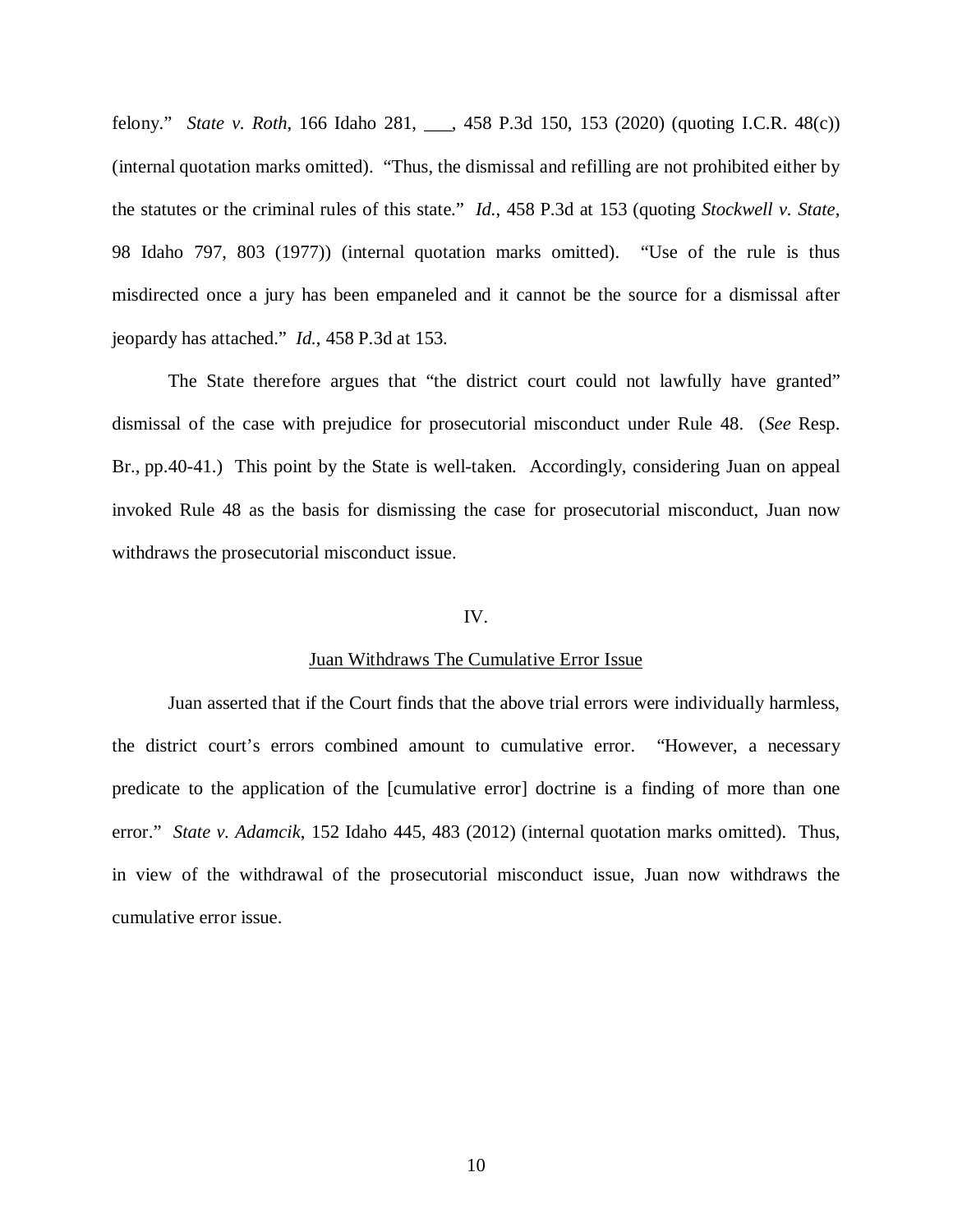felony." *State v. Roth*, 166 Idaho 281, \_\_\_, 458 P.3d 150, 153 (2020) (quoting I.C.R. 48(c)) (internal quotation marks omitted). "Thus, the dismissal and refilling are not prohibited either by the statutes or the criminal rules of this state." *Id.*, 458 P.3d at 153 (quoting *Stockwell v. State*, 98 Idaho 797, 803 (1977)) (internal quotation marks omitted). "Use of the rule is thus misdirected once a jury has been empaneled and it cannot be the source for a dismissal after jeopardy has attached." *Id.*, 458 P.3d at 153.

The State therefore argues that "the district court could not lawfully have granted" dismissal of the case with prejudice for prosecutorial misconduct under Rule 48. (*See* Resp. Br., pp.40-41.) This point by the State is well-taken. Accordingly, considering Juan on appeal invoked Rule 48 as the basis for dismissing the case for prosecutorial misconduct, Juan now withdraws the prosecutorial misconduct issue.

### IV.

#### Juan Withdraws The Cumulative Error Issue

Juan asserted that if the Court finds that the above trial errors were individually harmless, the district court's errors combined amount to cumulative error. "However, a necessary predicate to the application of the [cumulative error] doctrine is a finding of more than one error." *State v. Adamcik*, 152 Idaho 445, 483 (2012) (internal quotation marks omitted). Thus, in view of the withdrawal of the prosecutorial misconduct issue, Juan now withdraws the cumulative error issue.